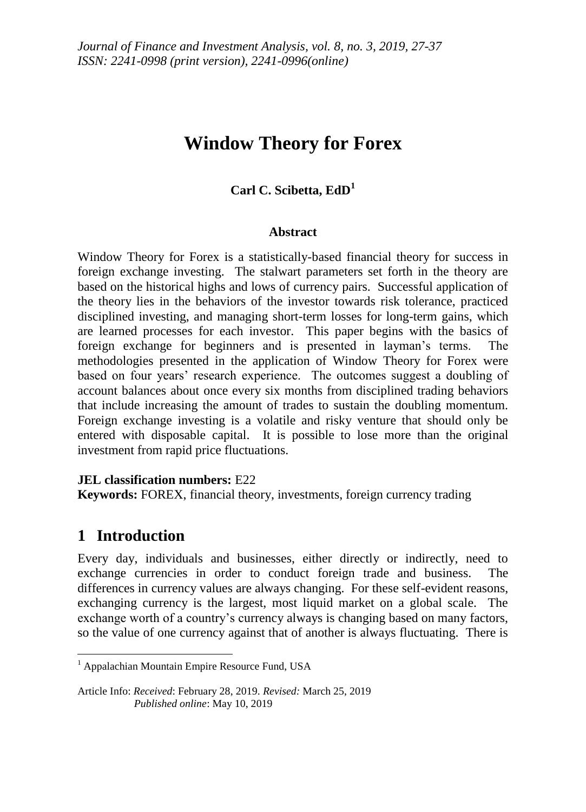# **Window Theory for Forex**

## **Carl C. Scibetta, EdD<sup>1</sup>**

## **Abstract**

Window Theory for Forex is a statistically-based financial theory for success in foreign exchange investing. The stalwart parameters set forth in the theory are based on the historical highs and lows of currency pairs. Successful application of the theory lies in the behaviors of the investor towards risk tolerance, practiced disciplined investing, and managing short-term losses for long-term gains, which are learned processes for each investor. This paper begins with the basics of foreign exchange for beginners and is presented in layman's terms. The methodologies presented in the application of Window Theory for Forex were based on four years' research experience. The outcomes suggest a doubling of account balances about once every six months from disciplined trading behaviors that include increasing the amount of trades to sustain the doubling momentum. Foreign exchange investing is a volatile and risky venture that should only be entered with disposable capital. It is possible to lose more than the original investment from rapid price fluctuations.

#### **JEL classification numbers:** E22

**Keywords:** FOREX, financial theory, investments, foreign currency trading

## **1 Introduction**

1

Every day, individuals and businesses, either directly or indirectly, need to exchange currencies in order to conduct foreign trade and business. The differences in currency values are always changing. For these self-evident reasons, exchanging currency is the largest, most liquid market on a global scale. The exchange worth of a country's currency always is changing based on many factors, so the value of one currency against that of another is always fluctuating. There is

<sup>&</sup>lt;sup>1</sup> Appalachian Mountain Empire Resource Fund, USA

Article Info: *Received*: February 28, 2019. *Revised:* March 25, 2019 *Published online*: May 10, 2019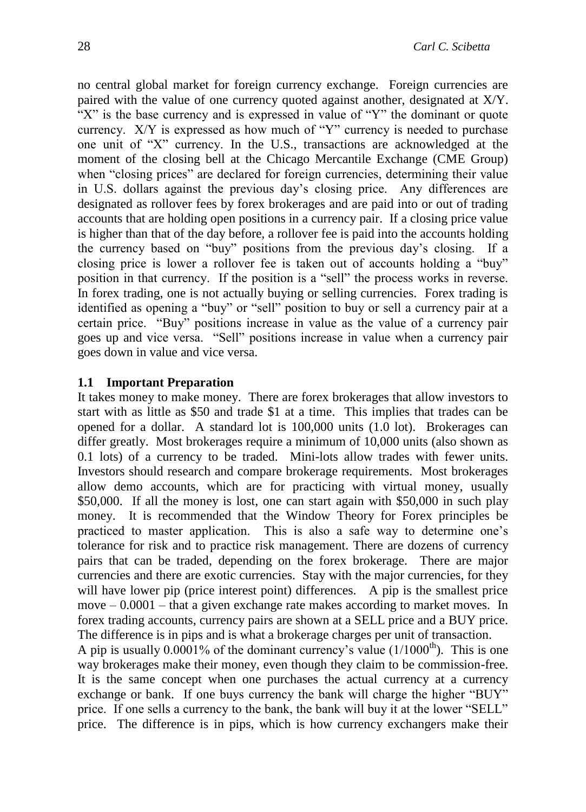no central global market for foreign currency exchange. Foreign currencies are paired with the value of one currency quoted against another, designated at X/Y. "X" is the base currency and is expressed in value of "Y" the dominant or quote currency. X/Y is expressed as how much of "Y" currency is needed to purchase one unit of "X" currency. In the U.S., transactions are acknowledged at the moment of the closing bell at the Chicago Mercantile Exchange (CME Group) when "closing prices" are declared for foreign currencies, determining their value in U.S. dollars against the previous day's closing price. Any differences are designated as rollover fees by forex brokerages and are paid into or out of trading accounts that are holding open positions in a currency pair. If a closing price value is higher than that of the day before, a rollover fee is paid into the accounts holding the currency based on "buy" positions from the previous day's closing. If a closing price is lower a rollover fee is taken out of accounts holding a "buy" position in that currency. If the position is a "sell" the process works in reverse. In forex trading, one is not actually buying or selling currencies. Forex trading is identified as opening a "buy" or "sell" position to buy or sell a currency pair at a certain price. "Buy" positions increase in value as the value of a currency pair goes up and vice versa. "Sell" positions increase in value when a currency pair goes down in value and vice versa.

#### **1.1 Important Preparation**

It takes money to make money. There are forex brokerages that allow investors to start with as little as \$50 and trade \$1 at a time. This implies that trades can be opened for a dollar. A standard lot is 100,000 units (1.0 lot). Brokerages can differ greatly. Most brokerages require a minimum of 10,000 units (also shown as 0.1 lots) of a currency to be traded. Mini-lots allow trades with fewer units. Investors should research and compare brokerage requirements. Most brokerages allow demo accounts, which are for practicing with virtual money, usually \$50,000. If all the money is lost, one can start again with \$50,000 in such play money. It is recommended that the Window Theory for Forex principles be practiced to master application. This is also a safe way to determine one's tolerance for risk and to practice risk management. There are dozens of currency pairs that can be traded, depending on the forex brokerage. There are major currencies and there are exotic currencies. Stay with the major currencies, for they will have lower pip (price interest point) differences. A pip is the smallest price move – 0.0001 – that a given exchange rate makes according to market moves. In forex trading accounts, currency pairs are shown at a SELL price and a BUY price. The difference is in pips and is what a brokerage charges per unit of transaction.

A pip is usually  $0.0001\%$  of the dominant currency's value  $(1/1000<sup>th</sup>)$ . This is one way brokerages make their money, even though they claim to be commission-free. It is the same concept when one purchases the actual currency at a currency exchange or bank. If one buys currency the bank will charge the higher "BUY" price. If one sells a currency to the bank, the bank will buy it at the lower "SELL" price. The difference is in pips, which is how currency exchangers make their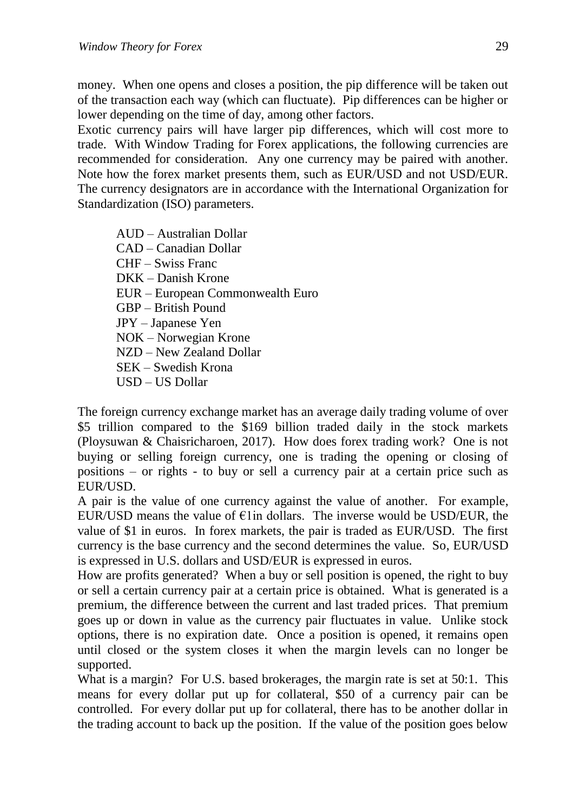money. When one opens and closes a position, the pip difference will be taken out of the transaction each way (which can fluctuate). Pip differences can be higher or lower depending on the time of day, among other factors.

Exotic currency pairs will have larger pip differences, which will cost more to trade. With Window Trading for Forex applications, the following currencies are recommended for consideration. Any one currency may be paired with another. Note how the forex market presents them, such as EUR/USD and not USD/EUR. The currency designators are in accordance with the International Organization for Standardization (ISO) parameters.

AUD – Australian Dollar CAD – Canadian Dollar CHF – Swiss Franc DKK – Danish Krone EUR – European Commonwealth Euro GBP – British Pound JPY – Japanese Yen NOK – Norwegian Krone NZD – New Zealand Dollar SEK – Swedish Krona USD – US Dollar

The foreign currency exchange market has an average daily trading volume of over \$5 trillion compared to the \$169 billion traded daily in the stock markets (Ploysuwan & Chaisricharoen, 2017). How does forex trading work? One is not buying or selling foreign currency, one is trading the opening or closing of positions – or rights - to buy or sell a currency pair at a certain price such as EUR/USD.

A pair is the value of one currency against the value of another. For example, EUR/USD means the value of  $\epsilon$ 1 in dollars. The inverse would be USD/EUR, the value of \$1 in euros. In forex markets, the pair is traded as EUR/USD. The first currency is the base currency and the second determines the value. So, EUR/USD is expressed in U.S. dollars and USD/EUR is expressed in euros.

How are profits generated? When a buy or sell position is opened, the right to buy or sell a certain currency pair at a certain price is obtained. What is generated is a premium, the difference between the current and last traded prices. That premium goes up or down in value as the currency pair fluctuates in value. Unlike stock options, there is no expiration date. Once a position is opened, it remains open until closed or the system closes it when the margin levels can no longer be supported.

What is a margin? For U.S. based brokerages, the margin rate is set at 50:1. This means for every dollar put up for collateral, \$50 of a currency pair can be controlled. For every dollar put up for collateral, there has to be another dollar in the trading account to back up the position. If the value of the position goes below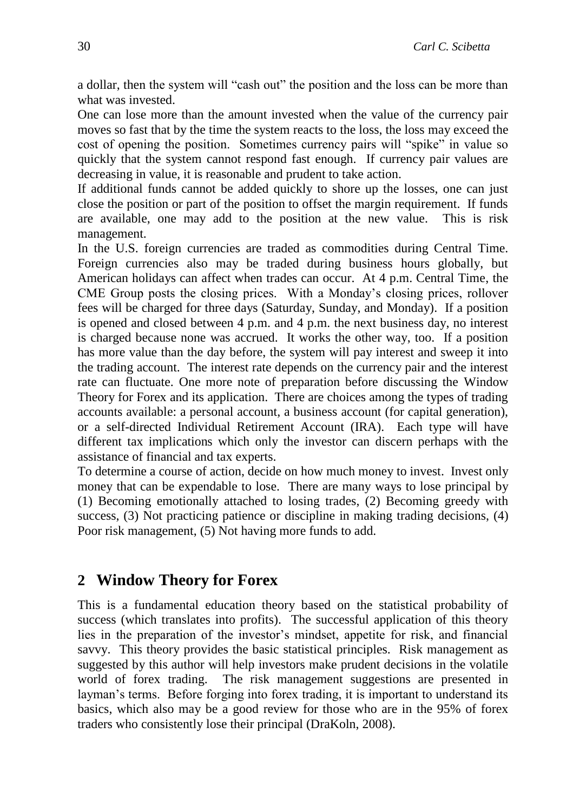a dollar, then the system will "cash out" the position and the loss can be more than what was invested.

One can lose more than the amount invested when the value of the currency pair moves so fast that by the time the system reacts to the loss, the loss may exceed the cost of opening the position. Sometimes currency pairs will "spike" in value so quickly that the system cannot respond fast enough. If currency pair values are decreasing in value, it is reasonable and prudent to take action.

If additional funds cannot be added quickly to shore up the losses, one can just close the position or part of the position to offset the margin requirement. If funds are available, one may add to the position at the new value. This is risk management.

In the U.S. foreign currencies are traded as commodities during Central Time. Foreign currencies also may be traded during business hours globally, but American holidays can affect when trades can occur. At 4 p.m. Central Time, the CME Group posts the closing prices. With a Monday's closing prices, rollover fees will be charged for three days (Saturday, Sunday, and Monday). If a position is opened and closed between 4 p.m. and 4 p.m. the next business day, no interest is charged because none was accrued. It works the other way, too. If a position has more value than the day before, the system will pay interest and sweep it into the trading account. The interest rate depends on the currency pair and the interest rate can fluctuate. One more note of preparation before discussing the Window Theory for Forex and its application. There are choices among the types of trading accounts available: a personal account, a business account (for capital generation), or a self-directed Individual Retirement Account (IRA). Each type will have different tax implications which only the investor can discern perhaps with the assistance of financial and tax experts.

To determine a course of action, decide on how much money to invest. Invest only money that can be expendable to lose. There are many ways to lose principal by (1) Becoming emotionally attached to losing trades, (2) Becoming greedy with success, (3) Not practicing patience or discipline in making trading decisions, (4) Poor risk management, (5) Not having more funds to add.

#### **2 Window Theory for Forex**

This is a fundamental education theory based on the statistical probability of success (which translates into profits). The successful application of this theory lies in the preparation of the investor's mindset, appetite for risk, and financial savvy. This theory provides the basic statistical principles. Risk management as suggested by this author will help investors make prudent decisions in the volatile world of forex trading. The risk management suggestions are presented in layman's terms. Before forging into forex trading, it is important to understand its basics, which also may be a good review for those who are in the 95% of forex traders who consistently lose their principal (DraKoln, 2008).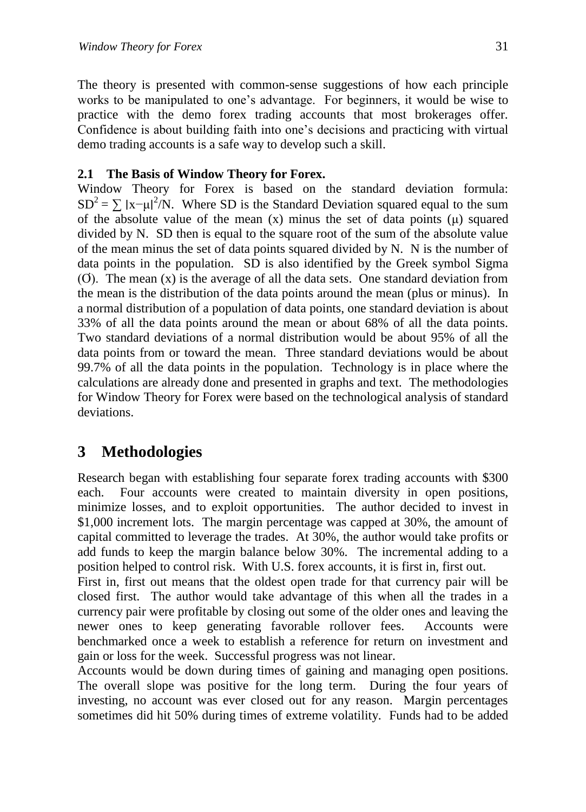The theory is presented with common-sense suggestions of how each principle works to be manipulated to one's advantage. For beginners, it would be wise to practice with the demo forex trading accounts that most brokerages offer. Confidence is about building faith into one's decisions and practicing with virtual demo trading accounts is a safe way to develop such a skill.

## **2.1 The Basis of Window Theory for Forex.**

Window Theory for Forex is based on the standard deviation formula:  $SD^2 = \sum |x-\mu|^2/N$ . Where SD is the Standard Deviation squared equal to the sum of the absolute value of the mean  $(x)$  minus the set of data points  $(\mu)$  squared divided by N. SD then is equal to the square root of the sum of the absolute value of the mean minus the set of data points squared divided by N. N is the number of data points in the population. SD is also identified by the Greek symbol Sigma (Ơ). The mean (x) is the average of all the data sets. One standard deviation from the mean is the distribution of the data points around the mean (plus or minus). In a normal distribution of a population of data points, one standard deviation is about 33% of all the data points around the mean or about 68% of all the data points. Two standard deviations of a normal distribution would be about 95% of all the data points from or toward the mean. Three standard deviations would be about 99.7% of all the data points in the population. Technology is in place where the calculations are already done and presented in graphs and text. The methodologies for Window Theory for Forex were based on the technological analysis of standard deviations.

## **3 Methodologies**

Research began with establishing four separate forex trading accounts with \$300 each. Four accounts were created to maintain diversity in open positions, minimize losses, and to exploit opportunities. The author decided to invest in \$1,000 increment lots. The margin percentage was capped at 30%, the amount of capital committed to leverage the trades. At 30%, the author would take profits or add funds to keep the margin balance below 30%. The incremental adding to a position helped to control risk. With U.S. forex accounts, it is first in, first out.

First in, first out means that the oldest open trade for that currency pair will be closed first. The author would take advantage of this when all the trades in a currency pair were profitable by closing out some of the older ones and leaving the newer ones to keep generating favorable rollover fees. Accounts were benchmarked once a week to establish a reference for return on investment and gain or loss for the week. Successful progress was not linear.

Accounts would be down during times of gaining and managing open positions. The overall slope was positive for the long term. During the four years of investing, no account was ever closed out for any reason. Margin percentages sometimes did hit 50% during times of extreme volatility. Funds had to be added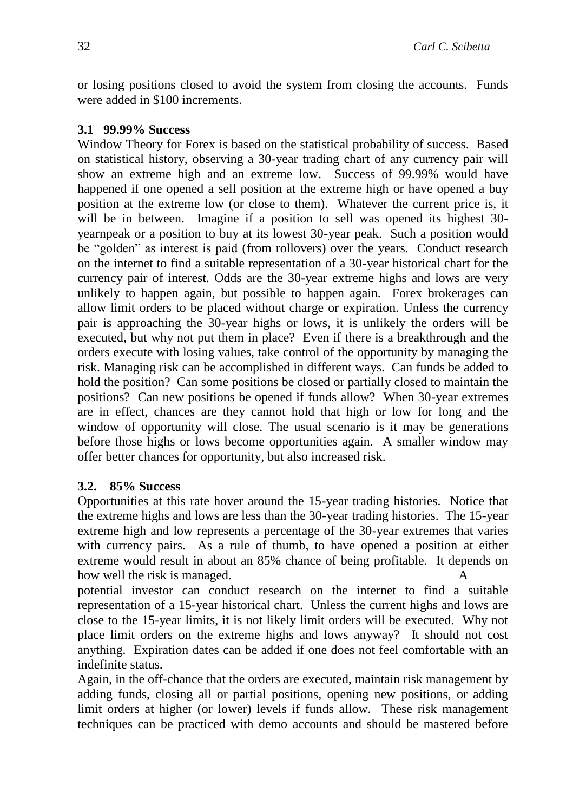or losing positions closed to avoid the system from closing the accounts. Funds were added in \$100 increments.

### **3.1 99.99% Success**

Window Theory for Forex is based on the statistical probability of success. Based on statistical history, observing a 30-year trading chart of any currency pair will show an extreme high and an extreme low. Success of 99.99% would have happened if one opened a sell position at the extreme high or have opened a buy position at the extreme low (or close to them). Whatever the current price is, it will be in between. Imagine if a position to sell was opened its highest 30 yearnpeak or a position to buy at its lowest 30-year peak. Such a position would be "golden" as interest is paid (from rollovers) over the years. Conduct research on the internet to find a suitable representation of a 30-year historical chart for the currency pair of interest. Odds are the 30-year extreme highs and lows are very unlikely to happen again, but possible to happen again. Forex brokerages can allow limit orders to be placed without charge or expiration. Unless the currency pair is approaching the 30-year highs or lows, it is unlikely the orders will be executed, but why not put them in place? Even if there is a breakthrough and the orders execute with losing values, take control of the opportunity by managing the risk. Managing risk can be accomplished in different ways. Can funds be added to hold the position? Can some positions be closed or partially closed to maintain the positions? Can new positions be opened if funds allow? When 30-year extremes are in effect, chances are they cannot hold that high or low for long and the window of opportunity will close. The usual scenario is it may be generations before those highs or lows become opportunities again. A smaller window may offer better chances for opportunity, but also increased risk.

#### **3.2. 85% Success**

Opportunities at this rate hover around the 15-year trading histories. Notice that the extreme highs and lows are less than the 30-year trading histories. The 15-year extreme high and low represents a percentage of the 30-year extremes that varies with currency pairs. As a rule of thumb, to have opened a position at either extreme would result in about an 85% chance of being profitable. It depends on how well the risk is managed. A

potential investor can conduct research on the internet to find a suitable representation of a 15-year historical chart. Unless the current highs and lows are close to the 15-year limits, it is not likely limit orders will be executed. Why not place limit orders on the extreme highs and lows anyway? It should not cost anything. Expiration dates can be added if one does not feel comfortable with an indefinite status.

Again, in the off-chance that the orders are executed, maintain risk management by adding funds, closing all or partial positions, opening new positions, or adding limit orders at higher (or lower) levels if funds allow. These risk management techniques can be practiced with demo accounts and should be mastered before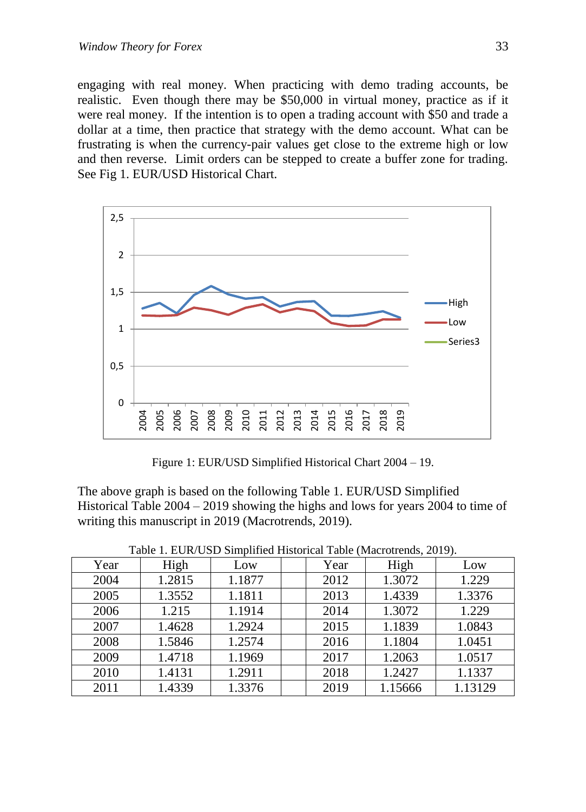engaging with real money. When practicing with demo trading accounts, be realistic. Even though there may be \$50,000 in virtual money, practice as if it were real money. If the intention is to open a trading account with \$50 and trade a dollar at a time, then practice that strategy with the demo account. What can be frustrating is when the currency-pair values get close to the extreme high or low and then reverse. Limit orders can be stepped to create a buffer zone for trading. See Fig 1. EUR/USD Historical Chart.



Figure 1: EUR/USD Simplified Historical Chart 2004 – 19.

The above graph is based on the following Table 1. EUR/USD Simplified Historical Table 2004 – 2019 showing the highs and lows for years 2004 to time of writing this manuscript in 2019 (Macrotrends, 2019).

| Year | High   | Low    |  | Year | High    | Low     |
|------|--------|--------|--|------|---------|---------|
| 2004 | 1.2815 | 1.1877 |  | 2012 | 1.3072  | 1.229   |
| 2005 | 1.3552 | 1.1811 |  | 2013 | 1.4339  | 1.3376  |
| 2006 | 1.215  | 1.1914 |  | 2014 | 1.3072  | 1.229   |
| 2007 | 1.4628 | 1.2924 |  | 2015 | 1.1839  | 1.0843  |
| 2008 | 1.5846 | 1.2574 |  | 2016 | 1.1804  | 1.0451  |
| 2009 | 1.4718 | 1.1969 |  | 2017 | 1.2063  | 1.0517  |
| 2010 | 1.4131 | 1.2911 |  | 2018 | 1.2427  | 1.1337  |
| 2011 | 1.4339 | 1.3376 |  | 2019 | 1.15666 | 1.13129 |

Table 1. EUR/USD Simplified Historical Table (Macrotrends, 2019).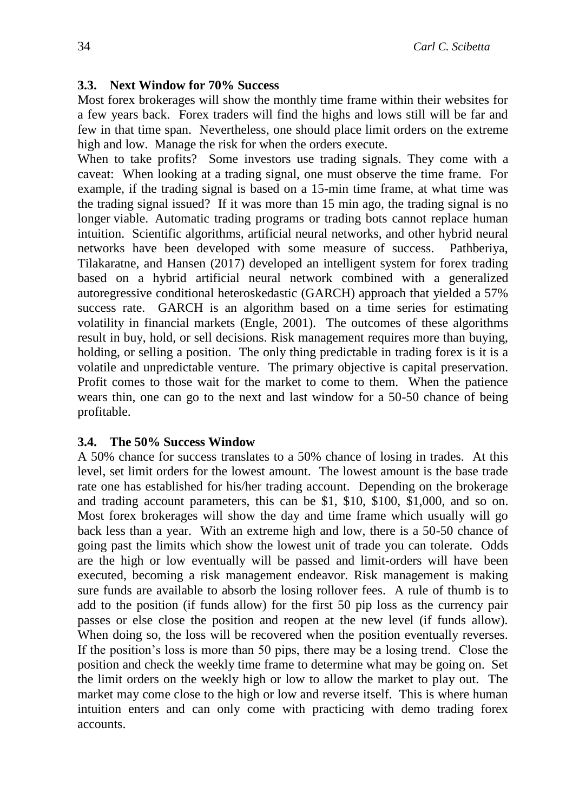## **3.3. Next Window for 70% Success**

Most forex brokerages will show the monthly time frame within their websites for a few years back. Forex traders will find the highs and lows still will be far and few in that time span. Nevertheless, one should place limit orders on the extreme high and low. Manage the risk for when the orders execute.

When to take profits? Some investors use trading signals. They come with a caveat: When looking at a trading signal, one must observe the time frame. For example, if the trading signal is based on a 15-min time frame, at what time was the trading signal issued? If it was more than 15 min ago, the trading signal is no longer viable. Automatic trading programs or trading bots cannot replace human intuition. Scientific algorithms, artificial neural networks, and other hybrid neural networks have been developed with some measure of success. Pathberiya, Tilakaratne, and Hansen (2017) developed an intelligent system for forex trading based on a hybrid artificial neural network combined with a generalized autoregressive conditional heteroskedastic (GARCH) approach that yielded a 57% success rate. GARCH is an algorithm based on a time series for estimating volatility in financial markets (Engle, 2001). The outcomes of these algorithms result in buy, hold, or sell decisions. Risk management requires more than buying, holding, or selling a position. The only thing predictable in trading forex is it is a volatile and unpredictable venture. The primary objective is capital preservation. Profit comes to those wait for the market to come to them. When the patience wears thin, one can go to the next and last window for a 50-50 chance of being profitable.

## **3.4. The 50% Success Window**

A 50% chance for success translates to a 50% chance of losing in trades. At this level, set limit orders for the lowest amount. The lowest amount is the base trade rate one has established for his/her trading account. Depending on the brokerage and trading account parameters, this can be \$1, \$10, \$100, \$1,000, and so on. Most forex brokerages will show the day and time frame which usually will go back less than a year. With an extreme high and low, there is a 50-50 chance of going past the limits which show the lowest unit of trade you can tolerate. Odds are the high or low eventually will be passed and limit-orders will have been executed, becoming a risk management endeavor. Risk management is making sure funds are available to absorb the losing rollover fees. A rule of thumb is to add to the position (if funds allow) for the first 50 pip loss as the currency pair passes or else close the position and reopen at the new level (if funds allow). When doing so, the loss will be recovered when the position eventually reverses. If the position's loss is more than 50 pips, there may be a losing trend. Close the position and check the weekly time frame to determine what may be going on. Set the limit orders on the weekly high or low to allow the market to play out. The market may come close to the high or low and reverse itself. This is where human intuition enters and can only come with practicing with demo trading forex accounts.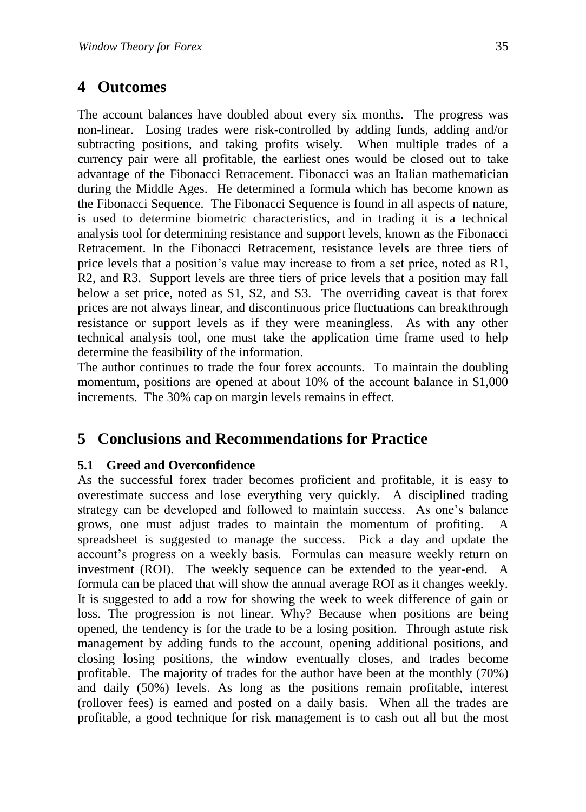## **4 Outcomes**

The account balances have doubled about every six months. The progress was non-linear. Losing trades were risk-controlled by adding funds, adding and/or subtracting positions, and taking profits wisely. When multiple trades of a currency pair were all profitable, the earliest ones would be closed out to take advantage of the Fibonacci Retracement. Fibonacci was an Italian mathematician during the Middle Ages. He determined a formula which has become known as the Fibonacci Sequence. The Fibonacci Sequence is found in all aspects of nature, is used to determine biometric characteristics, and in trading it is a technical analysis tool for determining resistance and support levels, known as the Fibonacci Retracement. In the Fibonacci Retracement, resistance levels are three tiers of price levels that a position's value may increase to from a set price, noted as R1, R2, and R3. Support levels are three tiers of price levels that a position may fall below a set price, noted as S1, S2, and S3. The overriding caveat is that forex prices are not always linear, and discontinuous price fluctuations can breakthrough resistance or support levels as if they were meaningless. As with any other technical analysis tool, one must take the application time frame used to help determine the feasibility of the information.

The author continues to trade the four forex accounts. To maintain the doubling momentum, positions are opened at about 10% of the account balance in \$1,000 increments. The 30% cap on margin levels remains in effect.

## **5 Conclusions and Recommendations for Practice**

#### **5.1 Greed and Overconfidence**

As the successful forex trader becomes proficient and profitable, it is easy to overestimate success and lose everything very quickly. A disciplined trading strategy can be developed and followed to maintain success. As one's balance grows, one must adjust trades to maintain the momentum of profiting. A spreadsheet is suggested to manage the success. Pick a day and update the account's progress on a weekly basis. Formulas can measure weekly return on investment (ROI). The weekly sequence can be extended to the year-end. A formula can be placed that will show the annual average ROI as it changes weekly. It is suggested to add a row for showing the week to week difference of gain or loss. The progression is not linear. Why? Because when positions are being opened, the tendency is for the trade to be a losing position. Through astute risk management by adding funds to the account, opening additional positions, and closing losing positions, the window eventually closes, and trades become profitable. The majority of trades for the author have been at the monthly (70%) and daily (50%) levels. As long as the positions remain profitable, interest (rollover fees) is earned and posted on a daily basis. When all the trades are profitable, a good technique for risk management is to cash out all but the most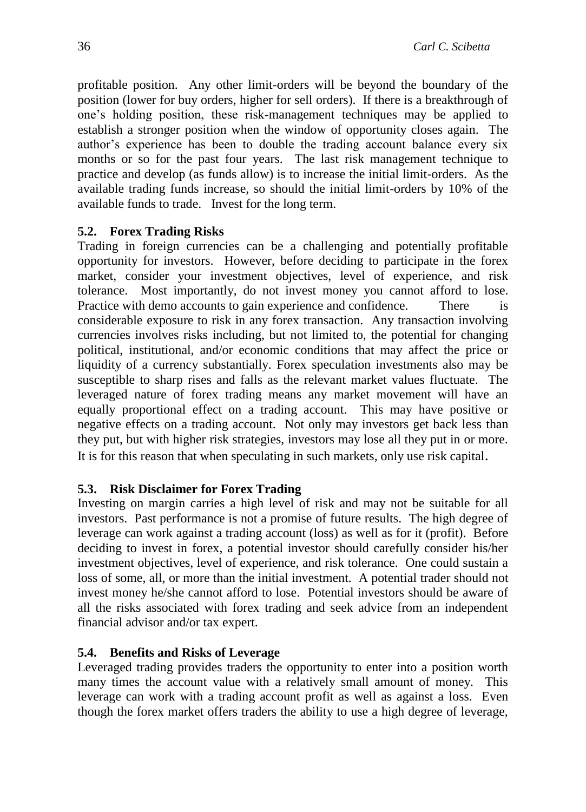profitable position. Any other limit-orders will be beyond the boundary of the position (lower for buy orders, higher for sell orders). If there is a breakthrough of one's holding position, these risk-management techniques may be applied to establish a stronger position when the window of opportunity closes again. The author's experience has been to double the trading account balance every six months or so for the past four years. The last risk management technique to practice and develop (as funds allow) is to increase the initial limit-orders. As the available trading funds increase, so should the initial limit-orders by 10% of the available funds to trade. Invest for the long term.

## **5.2. Forex Trading Risks**

Trading in foreign currencies can be a challenging and potentially profitable opportunity for investors. However, before deciding to participate in the forex market, consider your investment objectives, level of experience, and risk tolerance. Most importantly, do not invest money you cannot afford to lose. Practice with demo accounts to gain experience and confidence. There is considerable exposure to risk in any forex transaction. Any transaction involving currencies involves risks including, but not limited to, the potential for changing political, institutional, and/or economic conditions that may affect the price or liquidity of a currency substantially. Forex speculation investments also may be susceptible to sharp rises and falls as the relevant market values fluctuate. The leveraged nature of forex trading means any market movement will have an equally proportional effect on a trading account. This may have positive or negative effects on a trading account. Not only may investors get back less than they put, but with higher risk strategies, investors may lose all they put in or more. It is for this reason that when speculating in such markets, only use risk capital.

## **5.3. Risk Disclaimer for Forex Trading**

Investing on margin carries a high level of risk and may not be suitable for all investors. Past performance is not a promise of future results. The high degree of leverage can work against a trading account (loss) as well as for it (profit). Before deciding to invest in forex, a potential investor should carefully consider his/her investment objectives, level of experience, and risk tolerance. One could sustain a loss of some, all, or more than the initial investment. A potential trader should not invest money he/she cannot afford to lose. Potential investors should be aware of all the risks associated with forex trading and seek advice from an independent financial advisor and/or tax expert.

## **5.4. Benefits and Risks of Leverage**

Leveraged trading provides traders the opportunity to enter into a position worth many times the account value with a relatively small amount of money. This leverage can work with a trading account profit as well as against a loss. Even though the forex market offers traders the ability to use a high degree of leverage,